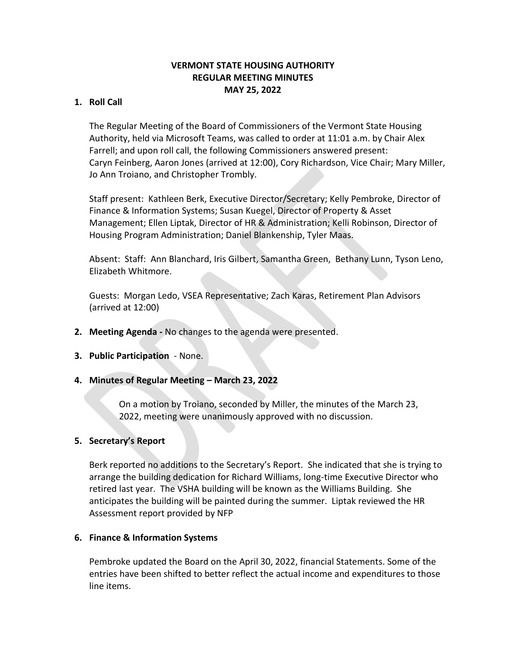# **VERMONT STATE HOUSING AUTHORITY REGULAR MEETING MINUTES MAY 25, 2022**

# **1. Roll Call**

The Regular Meeting of the Board of Commissioners of the Vermont State Housing Authority, held via Microsoft Teams, was called to order at 11:01 a.m. by Chair Alex Farrell; and upon roll call, the following Commissioners answered present: Caryn Feinberg, Aaron Jones (arrived at 12:00), Cory Richardson, Vice Chair; Mary Miller, Jo Ann Troiano, and Christopher Trombly.

Staff present: Kathleen Berk, Executive Director/Secretary; Kelly Pembroke, Director of Finance & Information Systems; Susan Kuegel, Director of Property & Asset Management; Ellen Liptak, Director of HR & Administration; Kelli Robinson, Director of Housing Program Administration; Daniel Blankenship, Tyler Maas.

Absent: Staff: Ann Blanchard, Iris Gilbert, Samantha Green, Bethany Lunn, Tyson Leno, Elizabeth Whitmore.

Guests: Morgan Ledo, VSEA Representative; Zach Karas, Retirement Plan Advisors (arrived at 12:00)

- **2. Meeting Agenda -** No changes to the agenda were presented.
- **3. Public Participation**  None.
- **4. Minutes of Regular Meeting – March 23, 2022**

On a motion by Troiano, seconded by Miller, the minutes of the March 23, 2022, meeting were unanimously approved with no discussion.

### **5. Secretary's Report**

Berk reported no additions to the Secretary's Report. She indicated that she is trying to arrange the building dedication for Richard Williams, long-time Executive Director who retired last year. The VSHA building will be known as the Williams Building. She anticipates the building will be painted during the summer. Liptak reviewed the HR Assessment report provided by NFP

### **6. Finance & Information Systems**

Pembroke updated the Board on the April 30, 2022, financial Statements. Some of the entries have been shifted to better reflect the actual income and expenditures to those line items.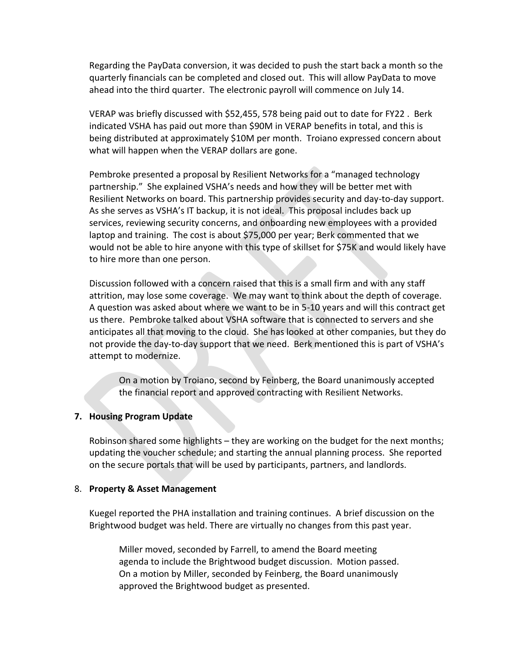Regarding the PayData conversion, it was decided to push the start back a month so the quarterly financials can be completed and closed out. This will allow PayData to move ahead into the third quarter. The electronic payroll will commence on July 14.

VERAP was briefly discussed with \$52,455, 578 being paid out to date for FY22 . Berk indicated VSHA has paid out more than \$90M in VERAP benefits in total, and this is being distributed at approximately \$10M per month. Troiano expressed concern about what will happen when the VERAP dollars are gone.

Pembroke presented a proposal by Resilient Networks for a "managed technology partnership." She explained VSHA's needs and how they will be better met with Resilient Networks on board. This partnership provides security and day-to-day support. As she serves as VSHA's IT backup, it is not ideal. This proposal includes back up services, reviewing security concerns, and onboarding new employees with a provided laptop and training. The cost is about \$75,000 per year; Berk commented that we would not be able to hire anyone with this type of skillset for \$75K and would likely have to hire more than one person.

Discussion followed with a concern raised that this is a small firm and with any staff attrition, may lose some coverage. We may want to think about the depth of coverage. A question was asked about where we want to be in 5-10 years and will this contract get us there. Pembroke talked about VSHA software that is connected to servers and she anticipates all that moving to the cloud. She has looked at other companies, but they do not provide the day-to-day support that we need. Berk mentioned this is part of VSHA's attempt to modernize.

On a motion by Troiano, second by Feinberg, the Board unanimously accepted the financial report and approved contracting with Resilient Networks.

### **7. Housing Program Update**

Robinson shared some highlights – they are working on the budget for the next months; updating the voucher schedule; and starting the annual planning process. She reported on the secure portals that will be used by participants, partners, and landlords.

### 8. **Property & Asset Management**

Kuegel reported the PHA installation and training continues. A brief discussion on the Brightwood budget was held. There are virtually no changes from this past year.

Miller moved, seconded by Farrell, to amend the Board meeting agenda to include the Brightwood budget discussion. Motion passed. On a motion by Miller, seconded by Feinberg, the Board unanimously approved the Brightwood budget as presented.